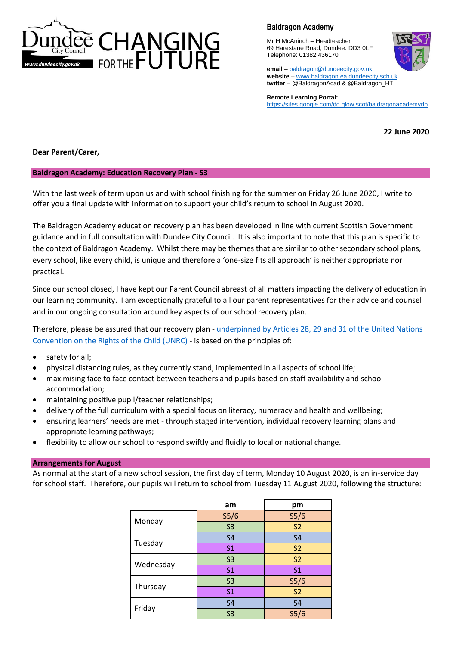

Mr H McAninch – Headteacher 69 Harestane Road, Dundee. DD3 0LF Telephone: 01382 436170



**email** – [baldragon@dundeecity.gov.uk](mailto:baldragon@dundeecity.gov.uk) **website** – [www.baldragon.ea.dundeecity.sch.uk](http://www.baldragon.ea.dundeecity.sch.uk/) **twitter** – @BaldragonAcad & @Baldragon\_HT

**Remote Learning Portal:** <https://sites.google.com/dd.glow.scot/baldragonacademyrlp>

**22 June 2020**

**Dear Parent/Carer,**

## **Baldragon Academy: Education Recovery Plan - S3**

With the last week of term upon us and with school finishing for the summer on Friday 26 June 2020, I write to offer you a final update with information to support your child's return to school in August 2020.

The Baldragon Academy education recovery plan has been developed in line with current Scottish Government guidance and in full consultation with Dundee City Council. It is also important to note that this plan is specific to the context of Baldragon Academy. Whilst there may be themes that are similar to other secondary school plans, every school, like every child, is unique and therefore a 'one-size fits all approach' is neither appropriate nor practical.

Since our school closed, I have kept our Parent Council abreast of all matters impacting the delivery of education in our learning community. I am exceptionally grateful to all our parent representatives for their advice and counsel and in our ongoing consultation around key aspects of our school recovery plan.

Therefore, please be assured that our recovery plan - [underpinned by Articles 28, 29](https://www.unicef.org.uk/wp-content/uploads/2010/05/UNCRC_summary-1.pdf) and 31 of the United Nations [Convention on the Rights of the Child \(UNRC\)](https://www.unicef.org.uk/wp-content/uploads/2010/05/UNCRC_summary-1.pdf) - is based on the principles of:

- safety for all;
- physical distancing rules, as they currently stand, implemented in all aspects of school life;
- maximising face to face contact between teachers and pupils based on staff availability and school accommodation;
- maintaining positive pupil/teacher relationships;
- delivery of the full curriculum with a special focus on literacy, numeracy and health and wellbeing;
- ensuring learners' needs are met through staged intervention, individual recovery learning plans and appropriate learning pathways;
- flexibility to allow our school to respond swiftly and fluidly to local or national change.

### **Arrangements for August**

As normal at the start of a new school session, the first day of term, Monday 10 August 2020, is an in-service day for school staff. Therefore, our pupils will return to school from Tuesday 11 August 2020, following the structure:

|           | am                | pm                |
|-----------|-------------------|-------------------|
| Monday    | S <sub>5</sub> /6 | S <sub>5</sub> /6 |
|           | S <sub>3</sub>    | S <sub>2</sub>    |
| Tuesday   | S <sub>4</sub>    | <b>S4</b>         |
|           | S <sub>1</sub>    | S <sub>2</sub>    |
| Wednesday | S <sub>3</sub>    | <b>S2</b>         |
|           | S <sub>1</sub>    | S <sub>1</sub>    |
| Thursday  | S <sub>3</sub>    | S <sub>5</sub> /6 |
|           | S <sub>1</sub>    | S <sub>2</sub>    |
| Friday    | S <sub>4</sub>    | S <sub>4</sub>    |
|           | S <sub>3</sub>    | S <sub>5</sub> /6 |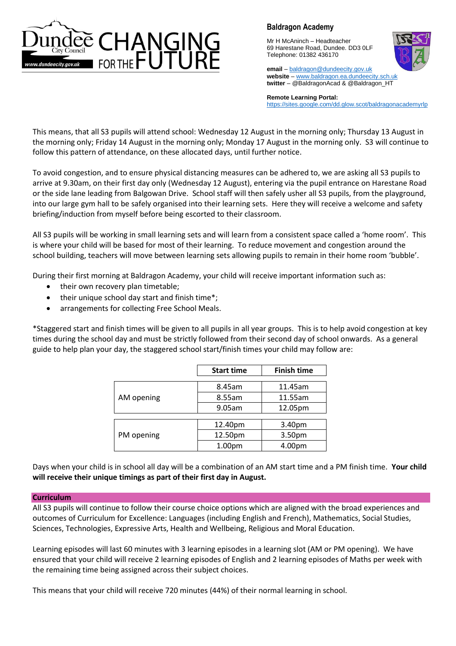

Mr H McAninch – Headteacher 69 Harestane Road, Dundee. DD3 0LF Telephone: 01382 436170



**email** – [baldragon@dundeecity.gov.uk](mailto:baldragon@dundeecity.gov.uk) **website** – [www.baldragon.ea.dundeecity.sch.uk](http://www.baldragon.ea.dundeecity.sch.uk/) **twitter** – @BaldragonAcad & @Baldragon\_HT

**Remote Learning Portal:** <https://sites.google.com/dd.glow.scot/baldragonacademyrlp>

This means, that all S3 pupils will attend school: Wednesday 12 August in the morning only; Thursday 13 August in the morning only; Friday 14 August in the morning only; Monday 17 August in the morning only. S3 will continue to follow this pattern of attendance, on these allocated days, until further notice.

To avoid congestion, and to ensure physical distancing measures can be adhered to, we are asking all S3 pupils to arrive at 9.30am, on their first day only (Wednesday 12 August), entering via the pupil entrance on Harestane Road or the side lane leading from Balgowan Drive. School staff will then safely usher all S3 pupils, from the playground, into our large gym hall to be safely organised into their learning sets. Here they will receive a welcome and safety briefing/induction from myself before being escorted to their classroom.

All S3 pupils will be working in small learning sets and will learn from a consistent space called a 'home room'. This is where your child will be based for most of their learning. To reduce movement and congestion around the school building, teachers will move between learning sets allowing pupils to remain in their home room 'bubble'.

During their first morning at Baldragon Academy, your child will receive important information such as:

- their own recovery plan timetable;
- their unique school day start and finish time\*;
- arrangements for collecting Free School Meals.

\*Staggered start and finish times will be given to all pupils in all year groups. This is to help avoid congestion at key times during the school day and must be strictly followed from their second day of school onwards. As a general guide to help plan your day, the staggered school start/finish times your child may follow are:

|            | <b>Start time</b> | <b>Finish time</b> |  |
|------------|-------------------|--------------------|--|
| AM opening | 8.45am            | 11.45am            |  |
|            | 8.55am            | 11.55am            |  |
|            | 9.05am            | 12.05pm            |  |
|            |                   |                    |  |
|            | 12.40pm           | 3.40pm             |  |
| PM opening | 12.50pm           | 3.50pm             |  |
|            | 1.00pm            | 4.00pm             |  |

Days when your child is in school all day will be a combination of an AM start time and a PM finish time. **Your child will receive their unique timings as part of their first day in August.**

### **Curriculum**

All S3 pupils will continue to follow their course choice options which are aligned with the broad experiences and outcomes of Curriculum for Excellence: Languages (including English and French), Mathematics, Social Studies, Sciences, Technologies, Expressive Arts, Health and Wellbeing, Religious and Moral Education.

Learning episodes will last 60 minutes with 3 learning episodes in a learning slot (AM or PM opening). We have ensured that your child will receive 2 learning episodes of English and 2 learning episodes of Maths per week with the remaining time being assigned across their subject choices.

This means that your child will receive 720 minutes (44%) of their normal learning in school.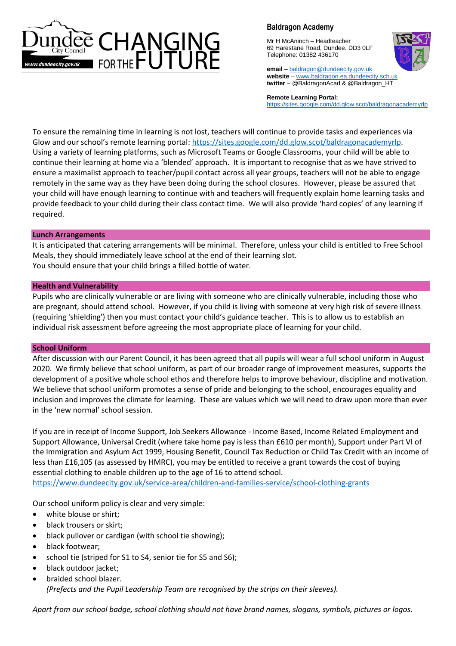

Mr H McAninch – Headteacher 69 Harestane Road, Dundee. DD3 0LF Telephone: 01382 436170



**email** – [baldragon@dundeecity.gov.uk](mailto:baldragon@dundeecity.gov.uk) **website** – [www.baldragon.ea.dundeecity.sch.uk](http://www.baldragon.ea.dundeecity.sch.uk/) **twitter** – @BaldragonAcad & @Baldragon\_HT

**Remote Learning Portal:** <https://sites.google.com/dd.glow.scot/baldragonacademyrlp>

To ensure the remaining time in learning is not lost, teachers will continue to provide tasks and experiences via Glow and our school's remote learning portal[: https://sites.google.com/dd.glow.scot/baldragonacademyrlp.](https://sites.google.com/dd.glow.scot/baldragonacademyrlp) Using a variety of learning platforms, such as Microsoft Teams or Google Classrooms, your child will be able to continue their learning at home via a 'blended' approach. It is important to recognise that as we have strived to ensure a maximalist approach to teacher/pupil contact across all year groups, teachers will not be able to engage remotely in the same way as they have been doing during the school closures. However, please be assured that your child will have enough learning to continue with and teachers will frequently explain home learning tasks and provide feedback to your child during their class contact time. We will also provide 'hard copies' of any learning if required.

### **Lunch Arrangements**

It is anticipated that catering arrangements will be minimal. Therefore, unless your child is entitled to Free School Meals, they should immediately leave school at the end of their learning slot. You should ensure that your child brings a filled bottle of water.

### **Health and Vulnerability**

Pupils who are clinically vulnerable or are living with someone who are clinically vulnerable, including those who are pregnant, should attend school. However, if you child is living with someone at very high risk of severe illness (requiring 'shielding') then you must contact your child's guidance teacher. This is to allow us to establish an individual risk assessment before agreeing the most appropriate place of learning for your child.

### **School Uniform**

After discussion with our Parent Council, it has been agreed that all pupils will wear a full school uniform in August 2020. We firmly believe that school uniform, as part of our broader range of improvement measures, supports the development of a positive whole school ethos and therefore helps to improve behaviour, discipline and motivation. We believe that school uniform promotes a sense of pride and belonging to the school, encourages equality and inclusion and improves the climate for learning. These are values which we will need to draw upon more than ever in the 'new normal' school session.

If you are in receipt of Income Support, Job Seekers Allowance - Income Based, Income Related Employment and Support Allowance, Universal Credit (where take home pay is less than £610 per month), Support under Part VI of the Immigration and Asylum Act 1999, Housing Benefit, Council Tax Reduction or Child Tax Credit with an income of less than £16,105 (as assessed by HMRC), you may be entitled to receive a grant towards the cost of buying essential clothing to enable children up to the age of 16 to attend school.

<https://www.dundeecity.gov.uk/service-area/children-and-families-service/school-clothing-grants>

Our school uniform policy is clear and very simple:

- white blouse or shirt;
- black trousers or skirt;
- black pullover or cardigan (with school tie showing);
- black footwear;
- school tie (striped for S1 to S4, senior tie for S5 and S6);
- black outdoor jacket;
- braided school blazer. *(Prefects and the Pupil Leadership Team are recognised by the strips on their sleeves).*

*Apart from our school badge, school clothing should not have brand names, slogans, symbols, pictures or logos.*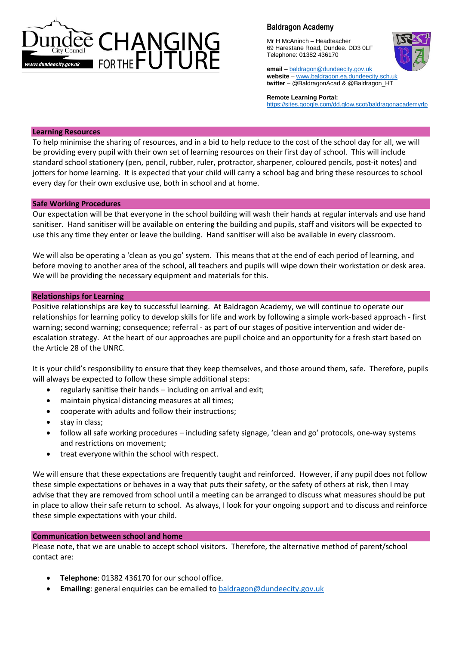

Mr H McAninch – Headteacher 69 Harestane Road, Dundee. DD3 0LF Telephone: 01382 436170



**email** – [baldragon@dundeecity.gov.uk](mailto:baldragon@dundeecity.gov.uk) **website** – [www.baldragon.ea.dundeecity.sch.uk](http://www.baldragon.ea.dundeecity.sch.uk/) **twitter** – @BaldragonAcad & @Baldragon\_HT

**Remote Learning Portal:** <https://sites.google.com/dd.glow.scot/baldragonacademyrlp>

### **Learning Resources**

To help minimise the sharing of resources, and in a bid to help reduce to the cost of the school day for all, we will be providing every pupil with their own set of learning resources on their first day of school. This will include standard school stationery (pen, pencil, rubber, ruler, protractor, sharpener, coloured pencils, post-it notes) and jotters for home learning. It is expected that your child will carry a school bag and bring these resources to school every day for their own exclusive use, both in school and at home.

### **Safe Working Procedures**

Our expectation will be that everyone in the school building will wash their hands at regular intervals and use hand sanitiser. Hand sanitiser will be available on entering the building and pupils, staff and visitors will be expected to use this any time they enter or leave the building. Hand sanitiser will also be available in every classroom.

We will also be operating a 'clean as you go' system. This means that at the end of each period of learning, and before moving to another area of the school, all teachers and pupils will wipe down their workstation or desk area. We will be providing the necessary equipment and materials for this.

#### **Relationships for Learning**

Positive relationships are key to successful learning. At Baldragon Academy, we will continue to operate our relationships for learning policy to develop skills for life and work by following a simple work-based approach - first warning; second warning; consequence; referral - as part of our stages of positive intervention and wider deescalation strategy. At the heart of our approaches are pupil choice and an opportunity for a fresh start based on the Article 28 of the UNRC.

It is your child's responsibility to ensure that they keep themselves, and those around them, safe. Therefore, pupils will always be expected to follow these simple additional steps:

- regularly sanitise their hands including on arrival and exit;
- maintain physical distancing measures at all times;
- cooperate with adults and follow their instructions;
- stay in class;
- follow all safe working procedures including safety signage, 'clean and go' protocols, one-way systems and restrictions on movement;
- treat everyone within the school with respect.

We will ensure that these expectations are frequently taught and reinforced. However, if any pupil does not follow these simple expectations or behaves in a way that puts their safety, or the safety of others at risk, then I may advise that they are removed from school until a meeting can be arranged to discuss what measures should be put in place to allow their safe return to school. As always, I look for your ongoing support and to discuss and reinforce these simple expectations with your child.

### **Communication between school and home**

Please note, that we are unable to accept school visitors. Therefore, the alternative method of parent/school contact are:

- **Telephone**: 01382 436170 for our school office.
- **Emailing**: general enquiries can be emailed to [baldragon@dundeecity.gov.uk](mailto:baldragon@dundeecity.gov.uk)